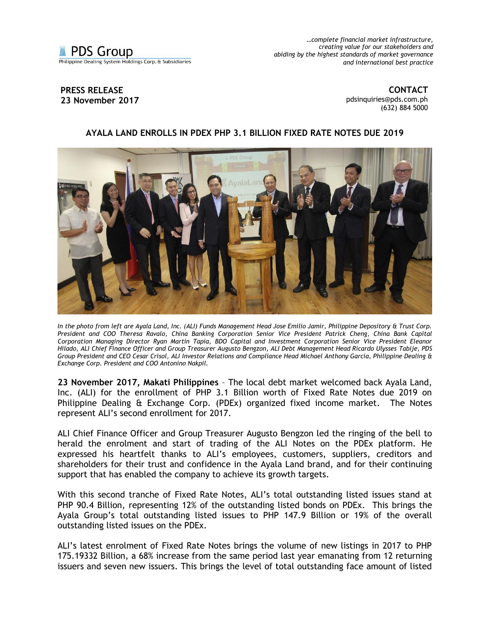**PDS Group** 

Philippine Dealing System Holdings Corp. & Subsidiaries

*…complete financial market infrastructure, creating value for our stakeholders and abiding by the highest standards of market governance and international best practice*

## **PRESS RELEASE 23 November 2017**

**CONTACT** [pdsinquiries@pds.com.ph](mailto:pdsinquiries@pds.com.ph) (632) 884 5000

## **AYALA LAND ENROLLS IN PDEX PHP 3.1 BILLION FIXED RATE NOTES DUE 2019**



*In the photo from left are Ayala Land, Inc. (ALI) Funds Management Head Jose Emilio Jamir, Philippine Depository & Trust Corp. President and COO Theresa Ravalo, China Banking Corporation Senior Vice President Patrick Cheng, China Bank Capital Corporation Managing Director Ryan Martin Tapia, BDO Capital and Investment Corporation Senior Vice President Eleanor Hilado, ALI Chief Finance Officer and Group Treasurer Augusto Bengzon, ALI Debt Management Head Ricardo Ulysses Tabije, PDS Group President and CEO Cesar Crisol, ALI Investor Relations and Compliance Head Michael Anthony Garcia, Philippine Dealing & Exchange Corp. President and COO Antonino Nakpil.* 

**23 November 2017, Makati Philippines** – The local debt market welcomed back Ayala Land, Inc. (ALI) for the enrollment of PHP 3.1 Billion worth of Fixed Rate Notes due 2019 on Philippine Dealing & Exchange Corp. (PDEx) organized fixed income market. The Notes represent ALI's second enrollment for 2017.

ALI Chief Finance Officer and Group Treasurer Augusto Bengzon led the ringing of the bell to herald the enrolment and start of trading of the ALI Notes on the PDEx platform. He expressed his heartfelt thanks to ALI's employees, customers, suppliers, creditors and shareholders for their trust and confidence in the Ayala Land brand, and for their continuing support that has enabled the company to achieve its growth targets.

With this second tranche of Fixed Rate Notes, ALI's total outstanding listed issues stand at PHP 90.4 Billion, representing 12% of the outstanding listed bonds on PDEx. This brings the Ayala Group's total outstanding listed issues to PHP 147.9 Billion or 19% of the overall outstanding listed issues on the PDEx.

ALI's latest enrolment of Fixed Rate Notes brings the volume of new listings in 2017 to PHP 175.19332 Billion, a 68% increase from the same period last year emanating from 12 returning issuers and seven new issuers. This brings the level of total outstanding face amount of listed